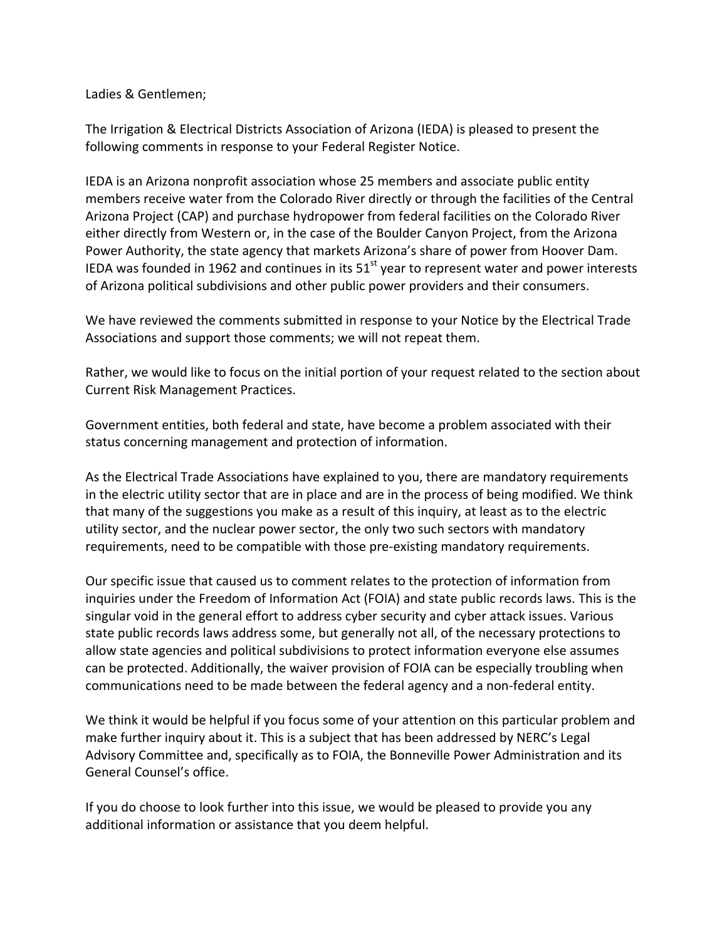Ladies & Gentlemen;

The Irrigation & Electrical Districts Association of Arizona (IEDA) is pleased to present the following comments in response to your Federal Register Notice.

IEDA is an Arizona nonprofit association whose 25 members and associate public entity members receive water from the Colorado River directly or through the facilities of the Central Arizona Project (CAP) and purchase hydropower from federal facilities on the Colorado River either directly from Western or, in the case of the Boulder Canyon Project, from the Arizona Power Authority, the state agency that markets Arizona's share of power from Hoover Dam. IEDA was founded in 1962 and continues in its  $51<sup>st</sup>$  year to represent water and power interests of Arizona political subdivisions and other public power providers and their consumers.

We have reviewed the comments submitted in response to your Notice by the Electrical Trade Associations and support those comments; we will not repeat them.

Rather, we would like to focus on the initial portion of your request related to the section about Current Risk Management Practices.

Government entities, both federal and state, have become a problem associated with their status concerning management and protection of information.

As the Electrical Trade Associations have explained to you, there are mandatory requirements in the electric utility sector that are in place and are in the process of being modified. We think that many of the suggestions you make as a result of this inquiry, at least as to the electric utility sector, and the nuclear power sector, the only two such sectors with mandatory requirements, need to be compatible with those pre-existing mandatory requirements.

Our specific issue that caused us to comment relates to the protection of information from inquiries under the Freedom of Information Act (FOIA) and state public records laws. This is the singular void in the general effort to address cyber security and cyber attack issues. Various state public records laws address some, but generally not all, of the necessary protections to allow state agencies and political subdivisions to protect information everyone else assumes can be protected. Additionally, the waiver provision of FOIA can be especially troubling when communications need to be made between the federal agency and a non-federal entity.

We think it would be helpful if you focus some of your attention on this particular problem and make further inquiry about it. This is a subject that has been addressed by NERC's Legal Advisory Committee and, specifically as to FOIA, the Bonneville Power Administration and its General Counsel's office.

If you do choose to look further into this issue, we would be pleased to provide you any additional information or assistance that you deem helpful.